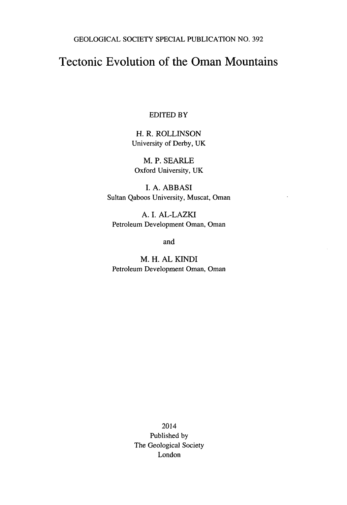GEOLOGICAL SOCIETY SPECIAL PUBLICATION NO. 392

## Tectonic Evolution of the Oman Mountains

## EDITED BY

H. R. ROLLINSON University of Derby, UK

M. P. SEARLE Oxford University, UK

I. A. ABBASI Sultan Qaboos University, Muscat, Oman

A. I. AL-LAZKI Petroleum Development Oman, Oman

and

M. H. AL KIND! Petroleum Development Oman, Oman

> 2014 Published by The Geological Society London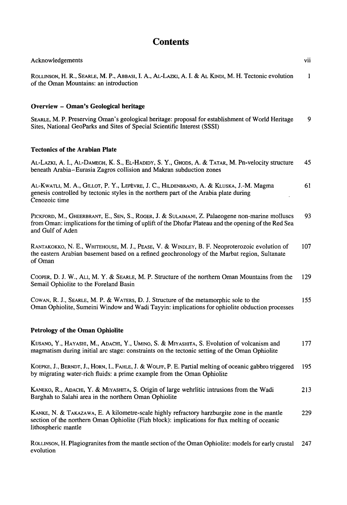## **Contents**

| Acknowledgements                                                                                                                                                                                                             | vii |
|------------------------------------------------------------------------------------------------------------------------------------------------------------------------------------------------------------------------------|-----|
| ROLLINSON, H. R., SEARLE, M. P., ABBASI, I. A., AL-LAZKI, A. I. & AL KINDI, M. H. Tectonic evolution<br>of the Oman Mountains: an introduction                                                                               | 1   |
| Overview - Oman's Geological heritage                                                                                                                                                                                        |     |
| SEARLE, M. P. Preserving Oman's geological heritage: proposal for establishment of World Heritage<br>Sites, National GeoParks and Sites of Special Scientific Interest (SSSI)                                                | 9   |
| <b>Tectonics of the Arabian Plate</b>                                                                                                                                                                                        |     |
| AL-LAZKI, A. I., AL-DAMEGH, K. S., EL-HADIDY, S. Y., GHODS, A. & TATAR, M. Pn-velocity structure<br>beneath Arabia-Eurasia Zagros collision and Makran subduction zones                                                      | 45  |
| AL-KWATLI, M. A., GILLOT, P. Y., LEFÈVRE, J. C., HILDENBRAND, A. & KLUSKA, J.-M. Magma<br>genesis controlled by tectonic styles in the northern part of the Arabia plate during<br>Cenozoic time                             | 61  |
| PICKFORD, M., GHEERBRANT, E., SEN, S., ROGER, J. & SULAIMANI, Z. Palaeogene non-marine molluscs<br>from Oman: implications for the timing of uplift of the Dhofar Plateau and the opening of the Red Sea<br>and Gulf of Aden | 93  |
| RANTAKOKKO, N. E., WHITEHOUSE, M. J., PEASE, V. & WINDLEY, B. F. Neoproterozoic evolution of<br>the eastern Arabian basement based on a refined geochronology of the Marbat region, Sultanate<br>of Oman                     | 107 |
| COOPER, D. J. W., ALI, M. Y. & SEARLE, M. P. Structure of the northern Oman Mountains from the<br>Semail Ophiolite to the Foreland Basin                                                                                     | 129 |
| COWAN, R. J., SEARLE, M. P. & WATERS, D. J. Structure of the metamorphic sole to the<br>Oman Ophiolite, Sumeini Window and Wadi Tayyin: implications for ophiolite obduction processes                                       | 155 |
| Petrology of the Oman Ophiolite                                                                                                                                                                                              |     |
| KUSANO, Y., HAYASHI, M., ADACHI, Y., UMINO, S. & MIYASHITA, S. Evolution of volcanism and<br>magmatism during initial arc stage: constraints on the tectonic setting of the Oman Ophiolite                                   | 177 |
| KOEPKE, J., BERNDT, J., HORN, I., FAHLE, J. & WOLFF, P. E. Partial melting of oceanic gabbro triggered<br>by migrating water-rich fluids: a prime example from the Oman Ophiolite                                            | 195 |
| KANEKO, R., ADACHI, Y. & MIYASHITA, S. Origin of large wehrlitic intrusions from the Wadi<br>Barghah to Salahi area in the northern Oman Ophiolite                                                                           | 213 |
| KANKE, N. & TAKAZAWA, E. A kilometre-scale highly refractory harzburgite zone in the mantle<br>section of the northern Oman Ophiolite (Fizh block): implications for flux melting of oceanic<br>lithospheric mantle          | 229 |
| ROLLINSON, H. Plagiogranites from the mantle section of the Oman Ophiolite: models for early crustal<br>evolution                                                                                                            | 247 |